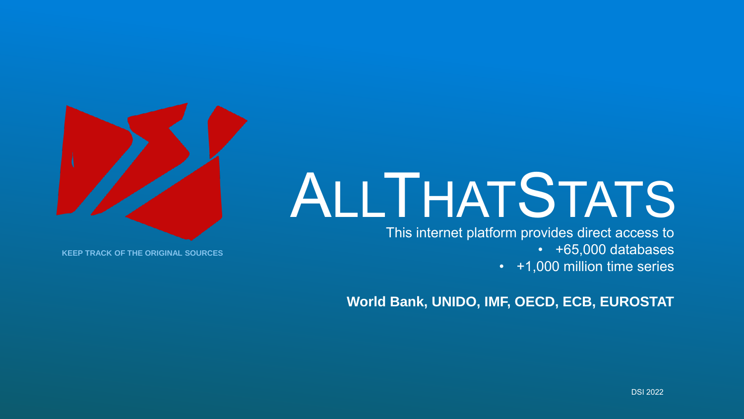# ALLTHATSTATS

This internet platform provides direct access to

• +65,000 databases

• +1,000 million time series

**World Bank, UNIDO, IMF, OECD, ECB, EUROSTAT**



**KEEP TRACK OF THE ORIGINAL SOURCES**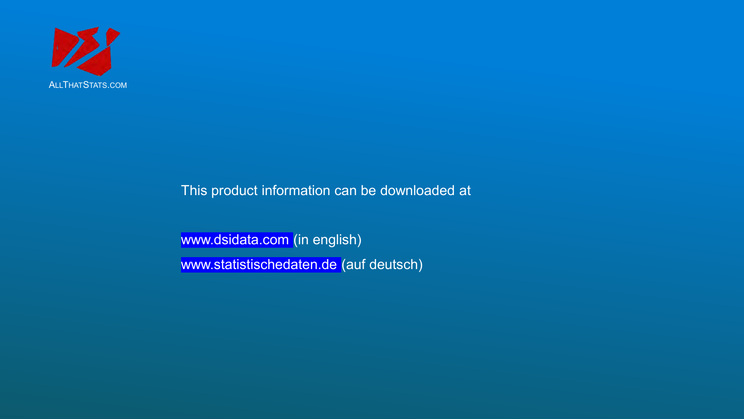

This product information can be downloaded at

www.dsidata.com (in english) www.statistischedaten.de (auf deutsch)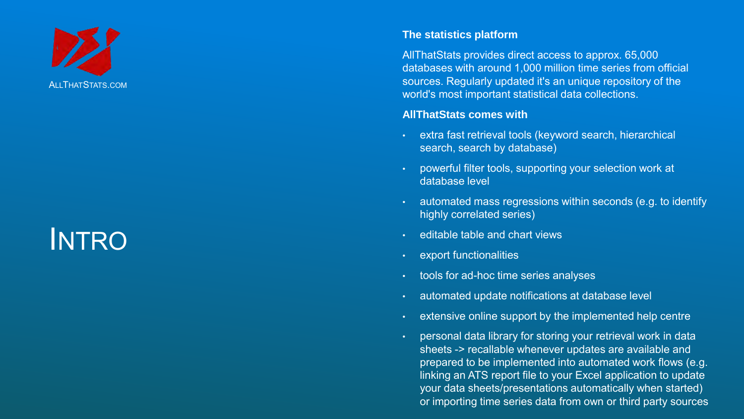

## INTRO

#### **The statistics platform**

AllThatStats provides direct access to approx. 65,000 databases with around 1,000 million time series from official sources. Regularly updated it's an unique repository of the world's most important statistical data collections.

#### **AllThatStats comes with**

- extra fast retrieval tools (keyword search, hierarchical search, search by database)
- powerful filter tools, supporting your selection work at database level
- automated mass regressions within seconds (e.g. to identify highly correlated series)
- editable table and chart views
- export functionalities
- tools for ad-hoc time series analyses
- automated update notifications at database level
- extensive online support by the implemented help centre
- personal data library for storing your retrieval work in data sheets -> recallable whenever updates are available and prepared to be implemented into automated work flows (e.g. linking an ATS report file to your Excel application to update your data sheets/presentations automatically when started) or importing time series data from own or third party sources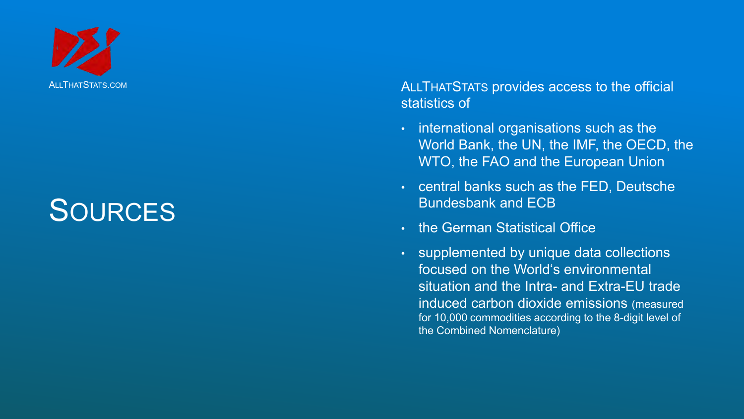

# **SOURCES**

ALLTHAT STATS provides access to the official statistics of

- international organisations such as the World Bank, the UN, the IMF, the OECD, the WTO, the FAO and the European Union
- central banks such as the FED, Deutsche Bundesbank and ECB
- the German Statistical Office
- supplemented by unique data collections focused on the World's environmental situation and the Intra - and Extra -EU trade induced carbon dioxide emissions (measured for 10,000 commodities according to the 8 -digit level of the Combined Nomenclature )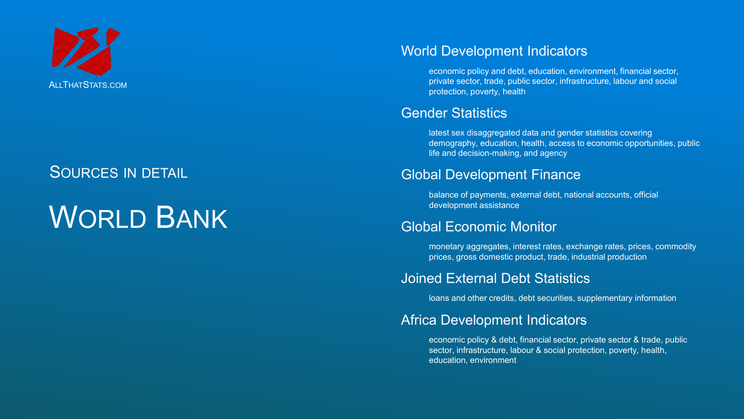

# WORLD BANK

### World Development Indicators

economic policy and debt, education, environment, financial sector, private sector, trade, public sector, infrastructure, labour and social protection, poverty, health

#### Gender Statistics

latest sex disaggregated data and gender statistics covering demography, education, health, access to economic opportunities, public life and decision-making, and agency

### Global Development Finance

balance of payments, external debt, national accounts, official development assistance

### Global Economic Monitor

monetary aggregates, interest rates, exchange rates, prices, commodity prices, gross domestic product, trade, industrial production

#### Joined External Debt Statistics

loans and other credits, debt securities, supplementary information

### Africa Development Indicators

economic policy & debt, financial sector, private sector & trade, public sector, infrastructure, labour & social protection, poverty, health, education, environment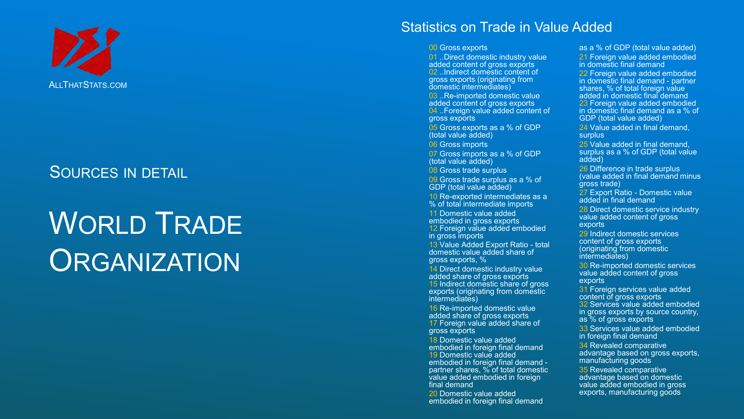

# WORLD TRADE **ORGANIZATION**

#### Statistics on Trade in Value Added

00 Gross exports

01 ..Direct domestic industry value added content of gross exports 02 . Indirect domestic content of gross exports (originating from domestic intermediates)

03 ..Re-imported domestic value added content of gross exports 04 ..Foreign value added content of gross exports

05 Gross exports as a % of GDP (total value added)

06 Gross imports

07 Gross imports as a % of GDP (total value added)

**08 Gross trade surplus** 

09 Gross trade surplus as a % of GDP (total value added)

10 Re -exported intermediates as a % of total intermediate imports

11 Domestic value added embodied in gross exports 12 Foreign value added embodied

in gross imports

13 Value Added Export Ratio - total domestic value added share of gross exports, %

14 Direct domestic industry value added share of gross exports 15 Indirect domestic share of gross exports (originating from domestic intermediates)

16 Re -imported domestic value added share of gross exports 17 Foreign value added share of gross exports

18 Domestic value added embodied in foreign final demand 19 Domestic value added embodied in foreign final demand partner shares, % of total domestic value added embodied in foreign final demand

20 Domestic value added embodied in foreign final demand

as a % of GDP (total value added) 21 Foreign value added embodied in domestic final demand

22 Foreign value added embodied in domestic final demand - partner shares, % of total foreign value added in domestic final demand 23 Foreign value added embodied in domestic final demand as a % of GDP (total value added)

24 Value added in final demand. surplus

25 Value added in final demand, surplus as a % of GDP (total value added)

26 Difference in trade surplus (value added in final demand minus gross trade)

27 Export Ratio - Domestic value added in final demand

28 Direct domestic service industry value added content of gross exports

29 Indirect domestic services content of gross exports (originating from domestic intermediates)

30 Re -imported domestic services value added content of gross exports

31 Foreign services value added content of gross exports 32 Services value added embodied in gross exports by source country, as % of gross exports

33 Services value added embodied in foreign final demand

34 Revealed comparative advantage based on gross exports, manufacturing goods

35 Revealed comparative advantage based on domestic value added embodied in gross exports, manufacturing goods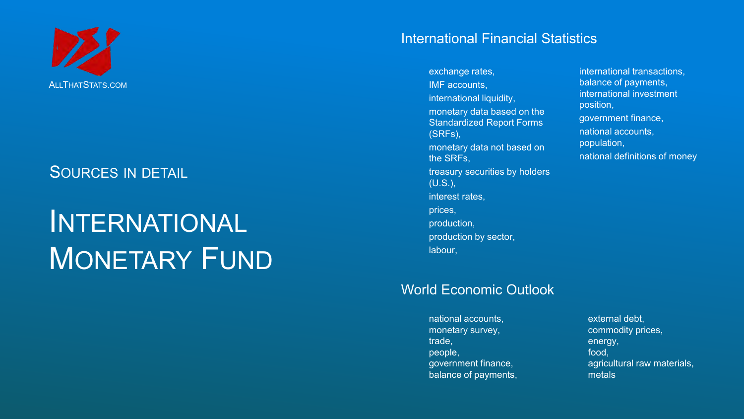

# INTERNATIONAL MONETARY FUND

#### International Financial Statistics

exchange rates, IMF accounts, international liquidity, monetary data based on the Standardized Report Forms (SRFs), monetary data not based on the SRFs, treasury securities by holders (U.S.), interest rates, prices, production, production by sector, labour,

### World Economic Outlook

national accounts, monetary survey, trade, people, government finance, balance of payments, international transactions, balance of payments, international investment position, government finance, national accounts, population, national definitions of money

external debt, commodity prices, energy, food, agricultural raw materials, metals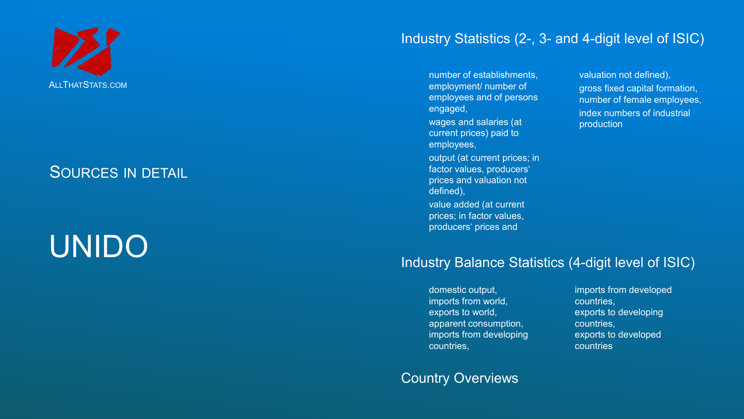

# UNIDO

### Industry Statistics (2 -, 3 - and 4 -digit level of ISIC)

number of establishments, employment/ number of employees and of persons engaged,

wages and salaries (at current prices) paid to employees,

output (at current prices; in factor values, producers' prices and valuation not defined),

value added (at current prices; in factor values, producers' prices and

valuation not defined), gross fixed capital formation, number of female employees , index numbers of industrial production

#### Industry Balance Statistics (4 -digit level of ISIC)

domestic output, imports from world, exports to world, apparent consumption, imports from developing countries,

#### Country Overviews

imports from developed countries, exports to developing countries, exports to developed countries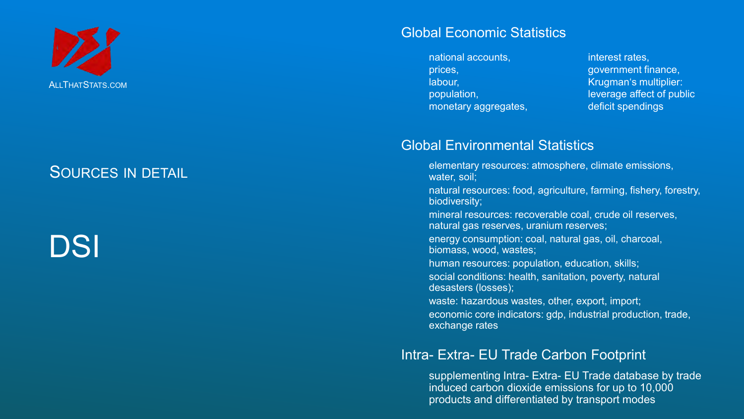

# DSI

#### Global Economic Statistics

national accounts, prices, labour, population, monetary aggregates, interest rates, government finance, Krugman's multiplier: leverage affect of public deficit spendings

### Global Environmental Statistics

- elementary resources: atmosphere, climate emissions, water, soil;
- natural resources: food, agriculture, farming, fishery, forestry, biodiversity;
- mineral resources: recoverable coal, crude oil reserves, natural gas reserves, uranium reserves;
- energy consumption: coal, natural gas, oil, charcoal, biomass, wood, wastes;
- human resources: population, education, skills;
- social conditions: health, sanitation, poverty, natural desasters (losses);
- waste: hazardous wastes, other, export, import;
- economic core indicators: gdp, industrial production, trade, exchange rates

### Intra- Extra- EU Trade Carbon Footprint

supplementing Intra- Extra- EU Trade database by trade induced carbon dioxide emissions for up to 10,000 products and differentiated by transport modes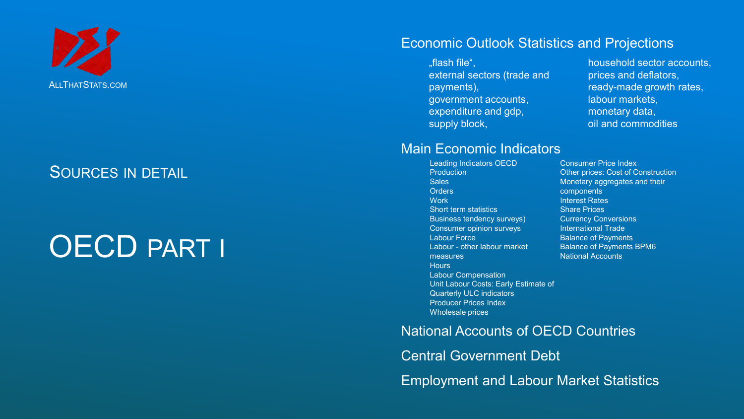

# OECD PART I

#### Economic Outlook Statistics and Projections

"flash file", external sectors (trade and payments), government accounts, expenditure and gdp, supply block,

household sector accounts, prices and deflators, ready-made growth rates, labour markets, monetary data, oil and commodities

#### Main Economic Indicators

Leading Indicators OECD **Production Sales Orders Work** Short term statistics Business tendency surveys) Consumer opinion surveys Labour Force Labour - other labour market measures **Hours** Labour Compensation Unit Labour Costs: Early Estimate of Quarterly ULC indicators Producer Prices Index Wholesale prices

Consumer Price Index Other prices: Cost of Construction Monetary aggregates and their components Interest Rates Share Prices Currency Conversions International Trade **Balance of Payments** Balance of Payments BPM6 National Accounts

National Accounts of OECD Countries Central Government Debt Employment and Labour Market Statistics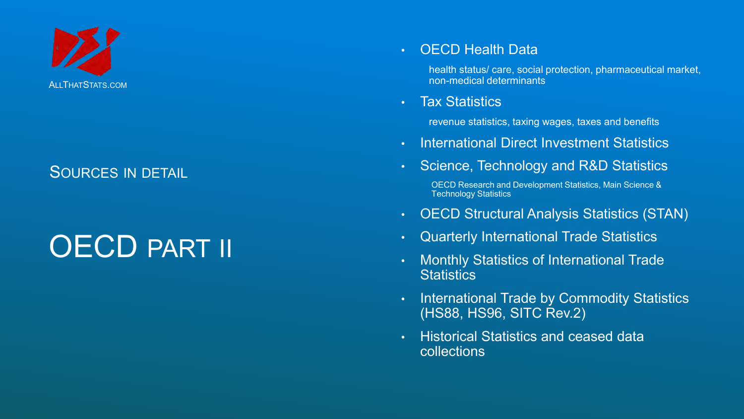

# OECD PART II

### • OECD Health Data

health status/ care, social protection, pharmaceutical market, non-medical determinants

#### • Tax Statistics

revenue statistics, taxing wages, taxes and benefits

- International Direct Investment Statistics
- Science, Technology and R&D Statistics

OECD Research and Development Statistics, Main Science & Technology Statistics

- OECD Structural Analysis Statistics (STAN)
- Quarterly International Trade Statistics
- Monthly Statistics of International Trade **Statistics**
- International Trade by Commodity Statistics (HS88, HS96, SITC Rev.2)
- Historical Statistics and ceased data collections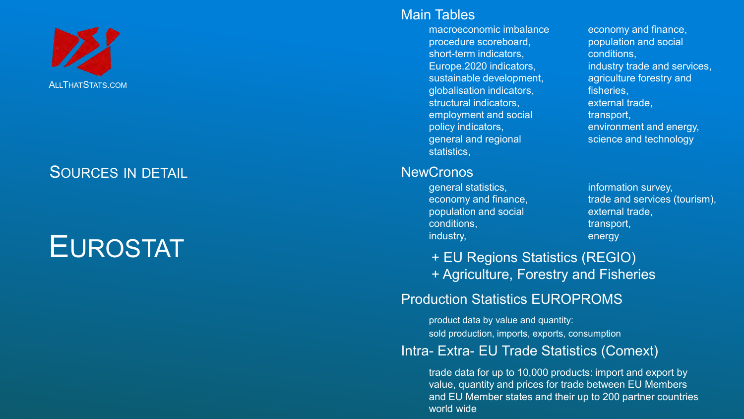

# EUROSTAT

#### Main Tables

macroeconomic imbalance procedure scoreboard, short -term indicators, Europe.2020 indicators , sustainable development, globalisation indicators, structural indicators, employment and social policy indicators, general and regional statistics,

#### **NewCronos**

general statistics, economy and finance, population and social conditions, industry,

economy and finance, population and social conditions , industry trade and services, agriculture forestry and fisheries, external trade , transport, environment and energy, science and technology

information survey, trade and services (tourism), external trade , transport , energy

+ EU Regions Statistics (REGIO) + Agriculture, Forestry and Fisheries

### Production Statistics EUROPROMS

product data by value and quantity: sold production, imports, exports, consumption

#### Intra- Extra- EU Trade Statistics (Comext)

trade data for up to 10,000 products: import and export by value, quantity and prices for trade between EU Members and EU Member states and their up to 200 partner countries world wide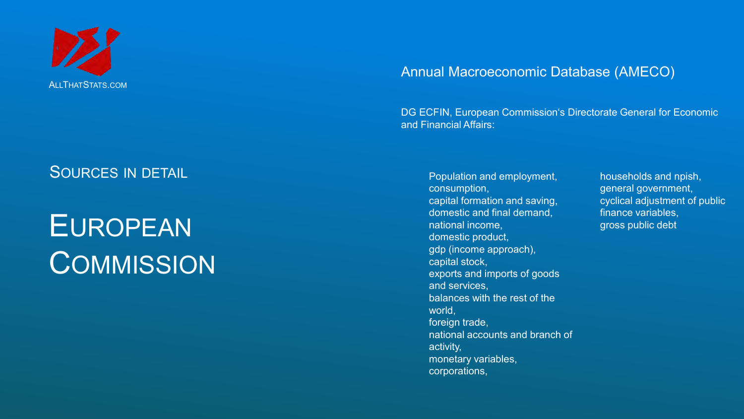

### SOURCES IN DETAIL **SOURCES** IN DETAIL

# EUROPEAN **COMMISSION**

#### Annual Macroeconomic Database (AMECO)

DG ECFIN, European Commission's Directorate General for Economic and Financial Affairs:

consumption, capital formation and saving, domestic and final demand, national income, domestic product, gdp (income approach), capital stock, exports and imports of goods and services, balances with the rest of the world, foreign trade, national accounts and branch of activity, monetary variables, corporations,

households and npish, general government, cyclical adjustment of public finance variables, gross public debt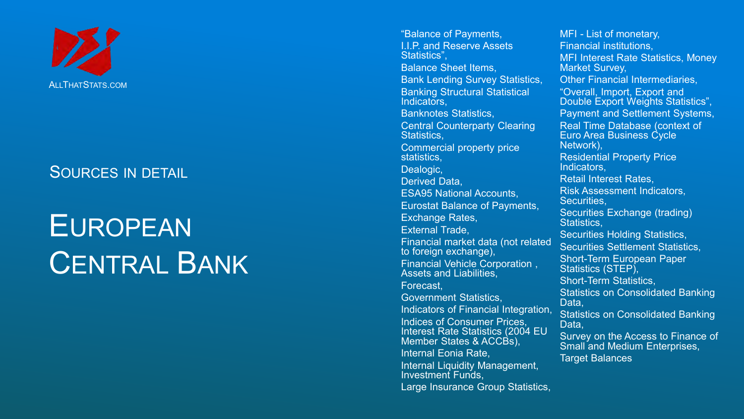

# EUROPEAN CENTRAL BANK

"Balance of Payments, I.I.P. and Reserve Assets Statistics", Balance Sheet Items, Bank Lending Survey Statistics, Banking Structural Statistical Indicators, Banknotes Statistics, Central Counterparty Clearing Statistics, Commercial property price statistics, Dealogic, Derived Data, ESA95 National Accounts, Eurostat Balance of Payments, Exchange Rates, External Trade, Financial market data (not related to foreign exchange), Financial Vehicle Corporation , Assets and Liabilities, Forecast, Government Statistics, Indicators of Financial Integration, Indices of Consumer Prices, Interest Rate Statistics (2004 EU Member States & ACCBs). Internal Eonia Rate, Internal Liquidity Management, Investment Funds, Large Insurance Group Statistics,

MFI - List of monetary, Financial institutions, MFI Interest Rate Statistics, Money Market Survey, Other Financial Intermediaries, "Overall, Import, Export and Double Export Weights Statistics", Payment and Settlement Systems, Real Time Database (context of Euro Area Business Cycle Network), Residential Property Price Indicators, Retail Interest Rates, Risk Assessment Indicators, Securities, Securities Exchange (trading) Statistics, Securities Holding Statistics, Securities Settlement Statistics, Short -Term European Paper Statistics (STEP), Short -Term Statistics, Statistics on Consolidated Banking Data, Statistics on Consolidated Banking Data, Survey on the Access to Finance of Small and Medium Enterprises, Target Balances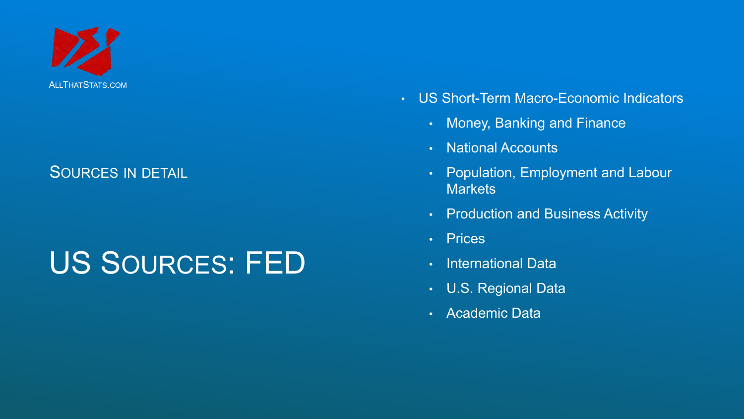

# US SOURCES: FED

- US Short-Term Macro-Economic Indicators
	- Money, Banking and Finance
	- National Accounts
	- Population, Employment and Labour **Markets**
	- Production and Business Activity
	- Prices
	- International Data
	- U.S. Regional Data
	- Academic Data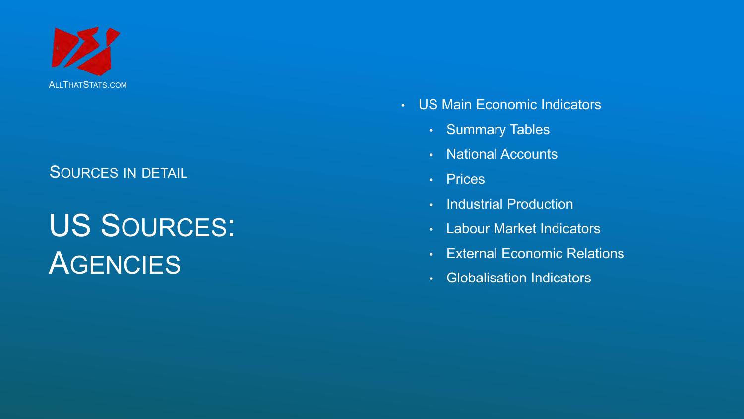

# US SOURCES: **AGENCIES**

- US Main Economic Indicators
	- Summary Tables
	- National Accounts
	- Prices
	- Industrial Production
	- Labour Market Indicators
	- External Economic Relations
	- Globalisation Indicators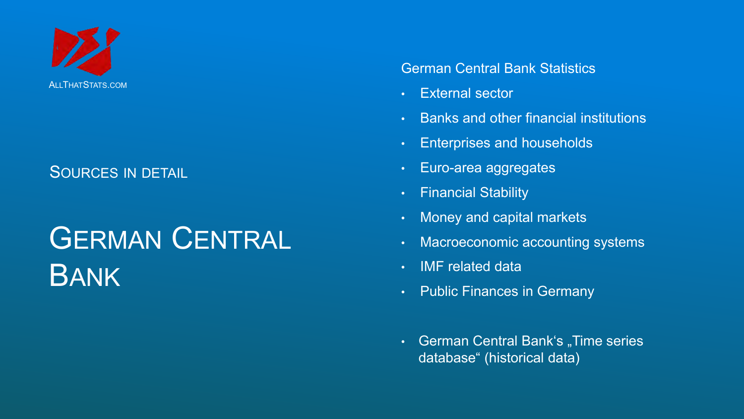

# GERMAN CENTRAL BANK

#### German Central Bank Statistics

- External sector
- Banks and other financial institutions
- Enterprises and households
- Euro-area aggregates
- Financial Stability
- Money and capital markets
- Macroeconomic accounting systems
- IMF related data
- Public Finances in Germany
- German Central Bank's "Time series database" (historical data)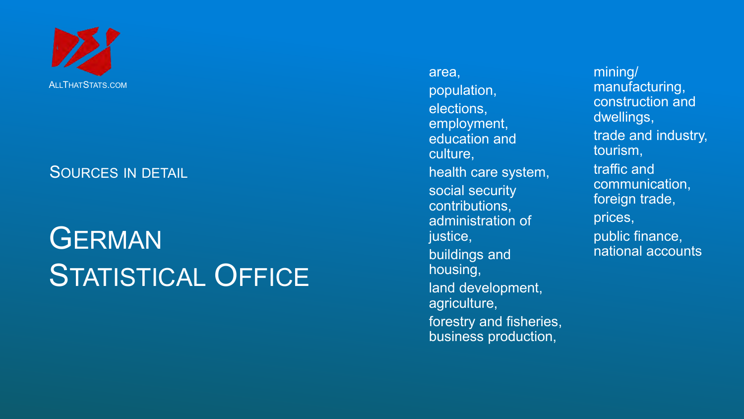

# **GERMAN** STATISTICAL OFFICE

area , population, elections, employment, education and culture, health care system, social security contributions, administration of justice, buildings and housing, land development, agriculture , forestry and fisheries, business production ,

mining/ manufacturing, construction and dwellings, trade and industry, tourism , traffic and communication, foreign trade , prices, public finance, national accounts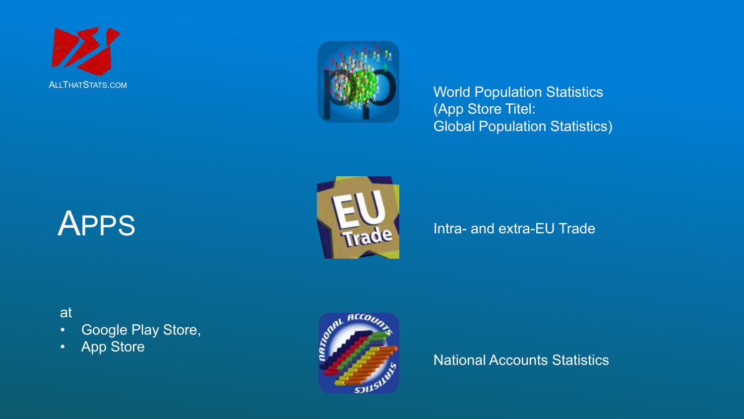



**ALLTHATSTATS.COM ALLTHATSTATS.COM** WORLD MANUSCRIPT OF THE SECOND TEAM OF THE SECOND AND THE SECOND TEAM OF THE SECOND AND THE SECOND AND THE SECOND AND THE SECOND MANUSCRIPT OF THE SECOND AND ALL THAT STATISTICS OF THE (App Store Titel: Global Population Statistics)

# APPS



### Intra- and extra-EU Trade

### at

- Google Play Store,
- App Store



National Accounts Statistics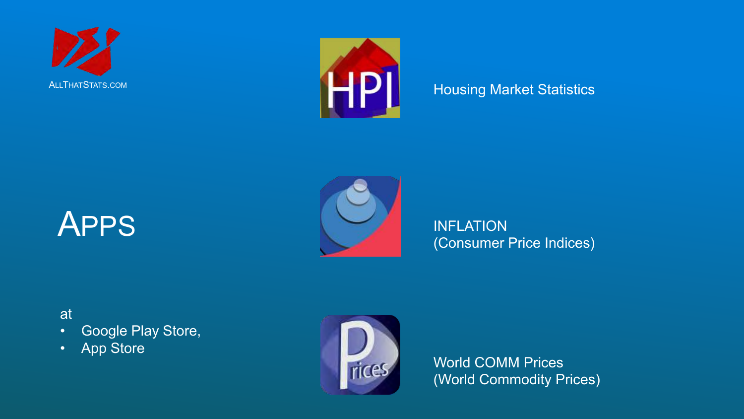



### Housing Market Statistics





INFLATION (Consumer Price Indices)

### at

- Google Play Store,
- App Store



World COMM Prices (World Commodity Prices)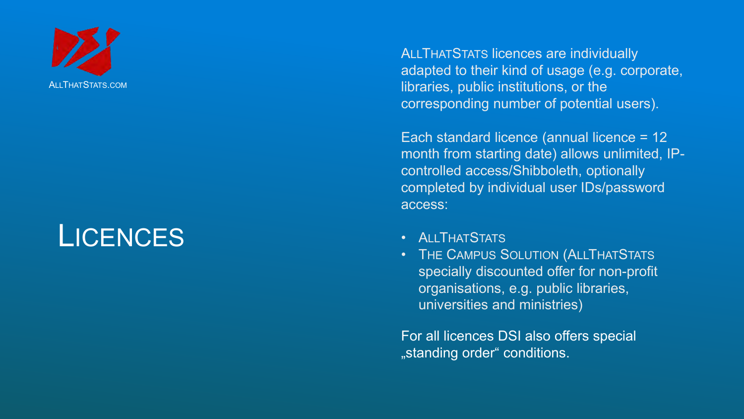

### **LICENCES**

ALLTHAT STATS licences are individually adapted to their kind of usage (e.g. corporate, libraries, public institutions, or the corresponding number of potential users).

Each standard licence (annual licence = 12 month from starting date) allows unlimited, IP controlled access/Shibboleth, optionally completed by individual user IDs/password access: ALLTHATSTATS.com<br>
libraries, public institutions,<br>
corresponding number of profite<br>
Each standard licence (ann<br>
month from starting date) a<br>
controlled access/Shibbolet<br>
completed by individual use<br>
access:<br>
<br>
<br>
<br>
<br>
<br>
<br>
<br>

- **ALLTHATSTATS**
- THE CAMPUS SOLUTION ( ALLTHAT STATS specially discounted offer for non -profit organisations, e.g. public libraries, universities and ministries)

For all licences DSI also offers special